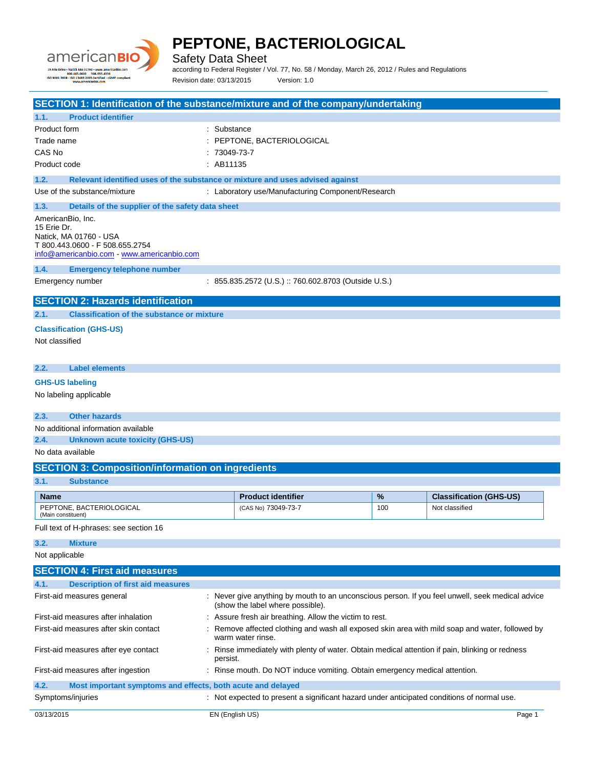

Safety Data Sheet

according to Federal Register / Vol. 77, No. 58 / Monday, March 26, 2012 / Rules and Regulations Revision date: 03/13/2015 Version: 1.0

| SECTION 1: Identification of the substance/mixture and of the company/undertaking     |                |                                                                                                                      |     |                                |
|---------------------------------------------------------------------------------------|----------------|----------------------------------------------------------------------------------------------------------------------|-----|--------------------------------|
| <b>Product identifier</b><br>1.1.                                                     |                |                                                                                                                      |     |                                |
| Product form                                                                          | : Substance    |                                                                                                                      |     |                                |
| Trade name                                                                            |                | : PEPTONE, BACTERIOLOGICAL                                                                                           |     |                                |
| CAS No                                                                                | $: 73049-73-7$ |                                                                                                                      |     |                                |
| Product code                                                                          | : AB11135      |                                                                                                                      |     |                                |
| Relevant identified uses of the substance or mixture and uses advised against<br>1.2. |                |                                                                                                                      |     |                                |
| Use of the substance/mixture                                                          |                | : Laboratory use/Manufacturing Component/Research                                                                    |     |                                |
| 1.3.<br>Details of the supplier of the safety data sheet                              |                |                                                                                                                      |     |                                |
| AmericanBio, Inc.                                                                     |                |                                                                                                                      |     |                                |
| 15 Erie Dr.<br>Natick, MA 01760 - USA                                                 |                |                                                                                                                      |     |                                |
| T 800.443.0600 - F 508.655.2754                                                       |                |                                                                                                                      |     |                                |
| info@americanbio.com - www.americanbio.com                                            |                |                                                                                                                      |     |                                |
| 1.4.<br><b>Emergency telephone number</b>                                             |                |                                                                                                                      |     |                                |
| Emergency number                                                                      |                | : 855.835.2572 (U.S.) :: 760.602.8703 (Outside U.S.)                                                                 |     |                                |
| <b>SECTION 2: Hazards identification</b>                                              |                |                                                                                                                      |     |                                |
| <b>Classification of the substance or mixture</b><br>2.1.                             |                |                                                                                                                      |     |                                |
| <b>Classification (GHS-US)</b>                                                        |                |                                                                                                                      |     |                                |
| Not classified                                                                        |                |                                                                                                                      |     |                                |
|                                                                                       |                |                                                                                                                      |     |                                |
| <b>Label elements</b><br>2.2.                                                         |                |                                                                                                                      |     |                                |
| <b>GHS-US labeling</b>                                                                |                |                                                                                                                      |     |                                |
| No labeling applicable                                                                |                |                                                                                                                      |     |                                |
|                                                                                       |                |                                                                                                                      |     |                                |
| 2.3.<br><b>Other hazards</b>                                                          |                |                                                                                                                      |     |                                |
| No additional information available                                                   |                |                                                                                                                      |     |                                |
| 2.4.<br><b>Unknown acute toxicity (GHS-US)</b>                                        |                |                                                                                                                      |     |                                |
| No data available                                                                     |                |                                                                                                                      |     |                                |
| <b>SECTION 3: Composition/information on ingredients</b>                              |                |                                                                                                                      |     |                                |
| 3.1.<br><b>Substance</b>                                                              |                |                                                                                                                      |     |                                |
| Name                                                                                  |                | <b>Product identifier</b>                                                                                            | %   | <b>Classification (GHS-US)</b> |
| PEPTONE, BACTERIOLOGICAL                                                              |                | (CAS No) 73049-73-7                                                                                                  | 100 | Not classified                 |
| (Main constituent)                                                                    |                |                                                                                                                      |     |                                |
| Full text of H-phrases: see section 16                                                |                |                                                                                                                      |     |                                |
| 3.2.<br><b>Mixture</b>                                                                |                |                                                                                                                      |     |                                |
| Not applicable                                                                        |                |                                                                                                                      |     |                                |
| <b>SECTION 4: First aid measures</b>                                                  |                |                                                                                                                      |     |                                |
| <b>Description of first aid measures</b><br>4.1.                                      |                |                                                                                                                      |     |                                |
| First-aid measures general                                                            |                | : Never give anything by mouth to an unconscious person. If you feel unwell, seek medical advice                     |     |                                |
|                                                                                       |                | (show the label where possible).                                                                                     |     |                                |
| First-aid measures after inhalation                                                   |                | : Assure fresh air breathing. Allow the victim to rest.                                                              |     |                                |
| First-aid measures after skin contact                                                 |                | : Remove affected clothing and wash all exposed skin area with mild soap and water, followed by<br>warm water rinse. |     |                                |
| First-aid measures after eye contact                                                  | persist.       | : Rinse immediately with plenty of water. Obtain medical attention if pain, blinking or redness                      |     |                                |
| First-aid measures after ingestion                                                    |                | : Rinse mouth. Do NOT induce vomiting. Obtain emergency medical attention.                                           |     |                                |
| 4.2.<br>Most important symptoms and effects, both acute and delayed                   |                |                                                                                                                      |     |                                |
| Symptoms/injuries                                                                     |                | : Not expected to present a significant hazard under anticipated conditions of normal use.                           |     |                                |
|                                                                                       |                |                                                                                                                      |     |                                |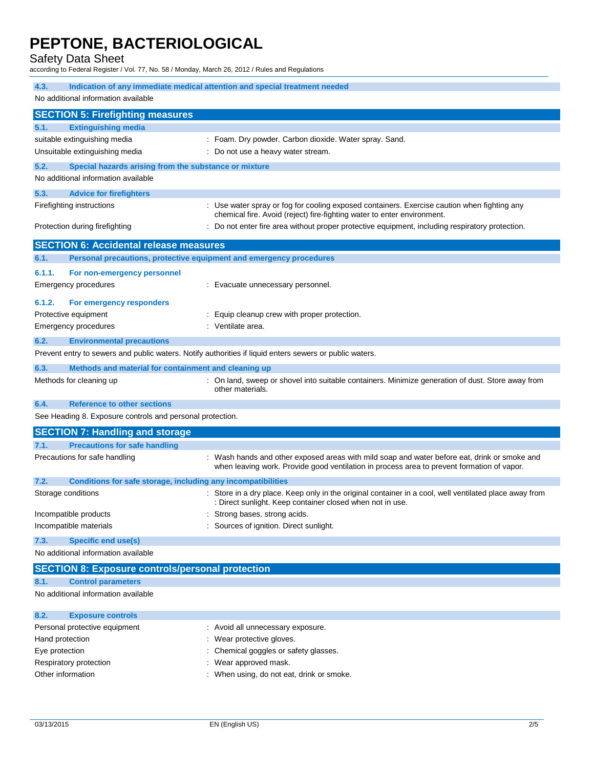Safety Data Sheet

according to Federal Register / Vol. 77, No. 58 / Monday, March 26, 2012 / Rules and Regulations

| Indication of any immediate medical attention and special treatment needed<br>4.3.                      |                                                                                                                                                                                            |  |  |  |
|---------------------------------------------------------------------------------------------------------|--------------------------------------------------------------------------------------------------------------------------------------------------------------------------------------------|--|--|--|
| No additional information available                                                                     |                                                                                                                                                                                            |  |  |  |
| <b>SECTION 5: Firefighting measures</b>                                                                 |                                                                                                                                                                                            |  |  |  |
| <b>Extinguishing media</b><br>5.1.                                                                      |                                                                                                                                                                                            |  |  |  |
| suitable extinguishing media                                                                            | : Foam. Dry powder. Carbon dioxide. Water spray. Sand.                                                                                                                                     |  |  |  |
| Unsuitable extinguishing media                                                                          | : Do not use a heavy water stream.                                                                                                                                                         |  |  |  |
|                                                                                                         |                                                                                                                                                                                            |  |  |  |
| 5.2.<br>Special hazards arising from the substance or mixture                                           |                                                                                                                                                                                            |  |  |  |
| No additional information available                                                                     |                                                                                                                                                                                            |  |  |  |
| 5.3.<br><b>Advice for firefighters</b>                                                                  |                                                                                                                                                                                            |  |  |  |
| Firefighting instructions                                                                               | : Use water spray or fog for cooling exposed containers. Exercise caution when fighting any<br>chemical fire. Avoid (reject) fire-fighting water to enter environment.                     |  |  |  |
| Protection during firefighting                                                                          | : Do not enter fire area without proper protective equipment, including respiratory protection.                                                                                            |  |  |  |
| <b>SECTION 6: Accidental release measures</b>                                                           |                                                                                                                                                                                            |  |  |  |
| 6.1.<br>Personal precautions, protective equipment and emergency procedures                             |                                                                                                                                                                                            |  |  |  |
| 6.1.1.<br>For non-emergency personnel                                                                   |                                                                                                                                                                                            |  |  |  |
| <b>Emergency procedures</b>                                                                             | : Evacuate unnecessary personnel.                                                                                                                                                          |  |  |  |
|                                                                                                         |                                                                                                                                                                                            |  |  |  |
| 6.1.2.<br>For emergency responders                                                                      |                                                                                                                                                                                            |  |  |  |
| Protective equipment                                                                                    | Equip cleanup crew with proper protection.                                                                                                                                                 |  |  |  |
| <b>Emergency procedures</b>                                                                             | : Ventilate area.                                                                                                                                                                          |  |  |  |
| 6.2.<br><b>Environmental precautions</b>                                                                |                                                                                                                                                                                            |  |  |  |
| Prevent entry to sewers and public waters. Notify authorities if liquid enters sewers or public waters. |                                                                                                                                                                                            |  |  |  |
| 6.3.<br>Methods and material for containment and cleaning up                                            |                                                                                                                                                                                            |  |  |  |
| Methods for cleaning up                                                                                 | : On land, sweep or shovel into suitable containers. Minimize generation of dust. Store away from<br>other materials.                                                                      |  |  |  |
| <b>Reference to other sections</b><br>6.4.                                                              |                                                                                                                                                                                            |  |  |  |
| See Heading 8. Exposure controls and personal protection.                                               |                                                                                                                                                                                            |  |  |  |
| <b>SECTION 7: Handling and storage</b>                                                                  |                                                                                                                                                                                            |  |  |  |
| <b>Precautions for safe handling</b><br>7.1.                                                            |                                                                                                                                                                                            |  |  |  |
| Precautions for safe handling                                                                           | : Wash hands and other exposed areas with mild soap and water before eat, drink or smoke and<br>when leaving work. Provide good ventilation in process area to prevent formation of vapor. |  |  |  |
| 7.2.<br>Conditions for safe storage, including any incompatibilities                                    |                                                                                                                                                                                            |  |  |  |
| Storage conditions                                                                                      | Store in a dry place. Keep only in the original container in a cool, well ventilated place away from<br>: Direct sunlight. Keep container closed when not in use.                          |  |  |  |
| Incompatible products                                                                                   | Strong bases. strong acids.                                                                                                                                                                |  |  |  |
| Incompatible materials                                                                                  | Sources of ignition. Direct sunlight.                                                                                                                                                      |  |  |  |
| <b>Specific end use(s)</b><br>7.3.                                                                      |                                                                                                                                                                                            |  |  |  |
| No additional information available                                                                     |                                                                                                                                                                                            |  |  |  |
| <b>SECTION 8: Exposure controls/personal protection</b>                                                 |                                                                                                                                                                                            |  |  |  |
| <b>Control parameters</b><br>8.1.                                                                       |                                                                                                                                                                                            |  |  |  |
| No additional information available                                                                     |                                                                                                                                                                                            |  |  |  |
|                                                                                                         |                                                                                                                                                                                            |  |  |  |
| 8.2.<br><b>Exposure controls</b>                                                                        |                                                                                                                                                                                            |  |  |  |
| Personal protective equipment                                                                           | : Avoid all unnecessary exposure.                                                                                                                                                          |  |  |  |
| Hand protection                                                                                         | : Wear protective gloves.                                                                                                                                                                  |  |  |  |

- Eye protection  $\qquad \qquad : \qquad$  Chemical goggles or safety glasses.
- Respiratory protection **in the set of the COV** wear approved mask.
- Other information **contact that is a contact of the US** when using, do not eat, drink or smoke.
	-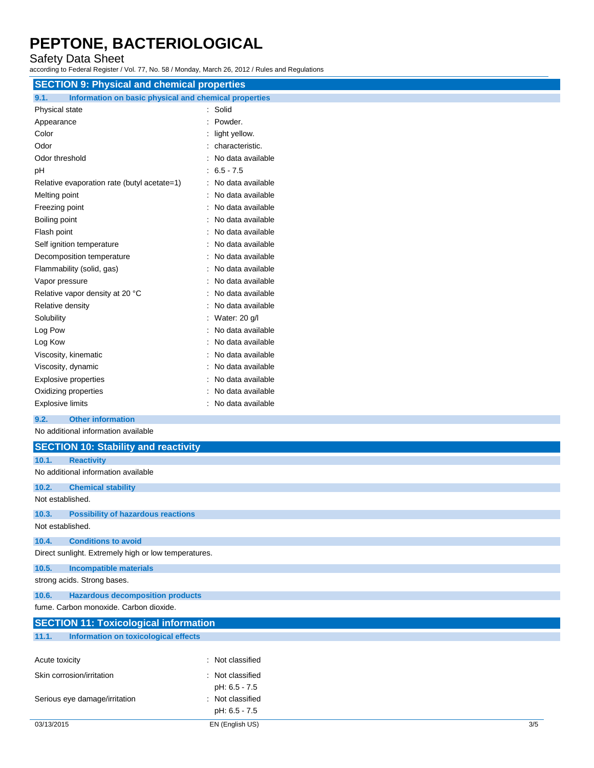Safety Data Sheet

according to Federal Register / Vol. 77, No. 58 / Monday, March 26, 2012 / Rules and Regulations

| <b>SECTION 9: Physical and chemical properties</b>            |                     |  |  |
|---------------------------------------------------------------|---------------------|--|--|
| Information on basic physical and chemical properties<br>9.1. |                     |  |  |
| Physical state                                                | : Solid             |  |  |
| Appearance                                                    | : Powder.           |  |  |
| Color                                                         | light yellow.       |  |  |
| Odor                                                          | characteristic.     |  |  |
| Odor threshold                                                | No data available   |  |  |
| рH                                                            | $: 6.5 - 7.5$       |  |  |
| Relative evaporation rate (butyl acetate=1)                   | : No data available |  |  |
| Melting point                                                 | No data available   |  |  |
| Freezing point                                                | No data available   |  |  |
| Boiling point                                                 | No data available   |  |  |
| Flash point                                                   | No data available   |  |  |
| Self ignition temperature                                     | No data available   |  |  |
| Decomposition temperature                                     | No data available   |  |  |
| Flammability (solid, gas)                                     | : No data available |  |  |
| Vapor pressure                                                | : No data available |  |  |
| Relative vapor density at 20 °C                               | : No data available |  |  |
| Relative density                                              | : No data available |  |  |
| Solubility                                                    | : Water: 20 g/l     |  |  |
| Log Pow                                                       | No data available   |  |  |
| Log Kow                                                       | No data available   |  |  |
| Viscosity, kinematic                                          | No data available   |  |  |
| Viscosity, dynamic                                            | No data available   |  |  |
| <b>Explosive properties</b>                                   | No data available   |  |  |
| Oxidizing properties                                          | No data available   |  |  |
| <b>Explosive limits</b>                                       | : No data available |  |  |
| <b>Other information</b><br>9.2.                              |                     |  |  |
| No additional information available                           |                     |  |  |
| <b>SECTION 10: Stability and reactivity</b>                   |                     |  |  |
| 10.1.<br><b>Reactivity</b>                                    |                     |  |  |
| No additional information available                           |                     |  |  |
| 10.2.<br><b>Chemical stability</b>                            |                     |  |  |
| Not established.                                              |                     |  |  |
| 10.3.<br><b>Possibility of hazardous reactions</b>            |                     |  |  |
| Not established.                                              |                     |  |  |
| <b>Conditions to avoid</b><br>10.4.                           |                     |  |  |
| Direct sunlight. Extremely high or low temperatures.          |                     |  |  |
| 10.5.<br><b>Incompatible materials</b>                        |                     |  |  |
| strong acids. Strong bases.                                   |                     |  |  |
| 10.6.<br><b>Hazardous decomposition products</b>              |                     |  |  |
| fume. Carbon monoxide. Carbon dioxide.                        |                     |  |  |
| <b>SECTION 11: Toxicological information</b>                  |                     |  |  |
| <b>Information on toxicological effects</b><br>11.1.          |                     |  |  |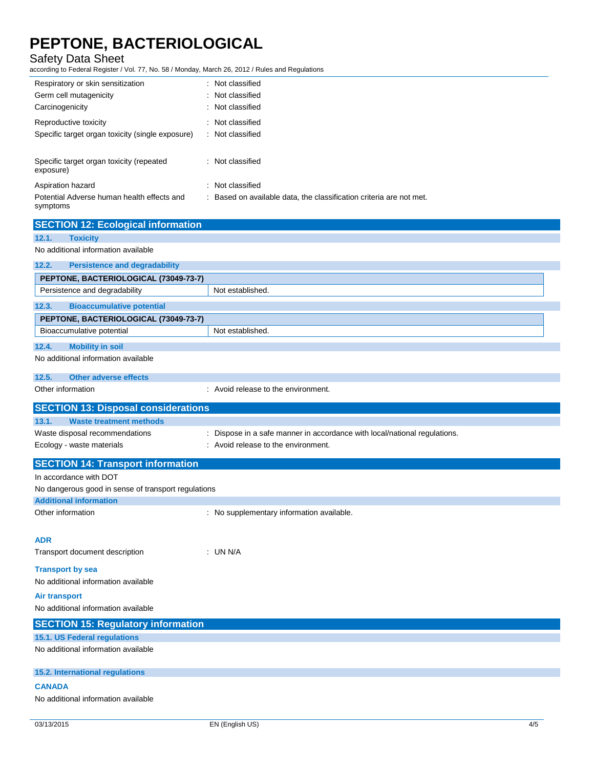Safety Data Sheet

according to Federal Register / Vol. 77, No. 58 / Monday, March 26, 2012 / Rules and Regulations

| Respiratory or skin sensitization                      | : Not classified                                                    |
|--------------------------------------------------------|---------------------------------------------------------------------|
| Germ cell mutagenicity                                 | : Not classified                                                    |
| Carcinogenicity                                        | : Not classified                                                    |
| Reproductive toxicity                                  | : Not classified                                                    |
| Specific target organ toxicity (single exposure)       | : Not classified                                                    |
| Specific target organ toxicity (repeated<br>exposure)  | : Not classified                                                    |
| Aspiration hazard                                      | : Not classified                                                    |
| Potential Adverse human health effects and<br>symptoms | : Based on available data, the classification criteria are not met. |

| <b>SECTION 12: Ecological information</b>           |                                                                         |
|-----------------------------------------------------|-------------------------------------------------------------------------|
| <b>Toxicity</b><br>12.1.                            |                                                                         |
| No additional information available                 |                                                                         |
| 12.2.<br><b>Persistence and degradability</b>       |                                                                         |
| PEPTONE, BACTERIOLOGICAL (73049-73-7)               |                                                                         |
| Persistence and degradability                       | Not established.                                                        |
| 12.3.<br><b>Bioaccumulative potential</b>           |                                                                         |
| PEPTONE, BACTERIOLOGICAL (73049-73-7)               |                                                                         |
| Bioaccumulative potential                           | Not established.                                                        |
| 12.4.<br><b>Mobility in soil</b>                    |                                                                         |
| No additional information available                 |                                                                         |
| <b>Other adverse effects</b><br>12.5.               |                                                                         |
| Other information                                   | : Avoid release to the environment.                                     |
| <b>SECTION 13: Disposal considerations</b>          |                                                                         |
| 13.1.<br><b>Waste treatment methods</b>             |                                                                         |
| Waste disposal recommendations                      | Dispose in a safe manner in accordance with local/national regulations. |
| Ecology - waste materials                           | : Avoid release to the environment.                                     |
| <b>SECTION 14: Transport information</b>            |                                                                         |
| In accordance with DOT                              |                                                                         |
| No dangerous good in sense of transport regulations |                                                                         |
| <b>Additional information</b>                       |                                                                         |
| Other information                                   | : No supplementary information available.                               |
|                                                     |                                                                         |
| <b>ADR</b>                                          |                                                                         |
| Transport document description                      | : UN N/A                                                                |
| <b>Transport by sea</b>                             |                                                                         |
| No additional information available                 |                                                                         |
| <b>Air transport</b>                                |                                                                         |
| No additional information available                 |                                                                         |
| <b>SECTION 15: Regulatory information</b>           |                                                                         |
| 15.1. US Federal regulations                        |                                                                         |
| No additional information available                 |                                                                         |
| <b>15.2. International regulations</b>              |                                                                         |
| <b>CANADA</b>                                       |                                                                         |
| No additional information available                 |                                                                         |
|                                                     |                                                                         |